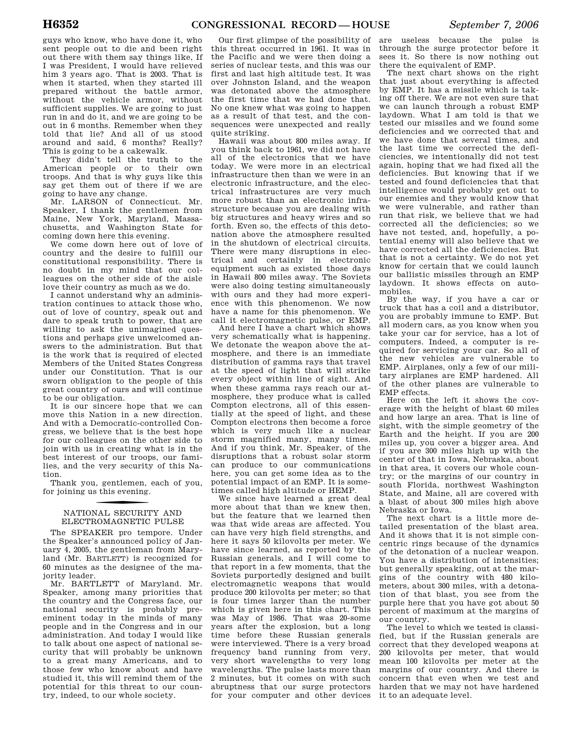guys who know, who have done it, who sent people out to die and been right out there with them say things like, If I was President, I would have relieved him 3 years ago. That is 2003. That is when it started, when they started ill prepared without the battle armor, without the vehicle armor, without sufficient supplies. We are going to just run in and do it, and we are going to be out in 6 months. Remember when they told that lie? And all of us stood around and said, 6 months? Really? This is going to be a cakewalk.

They didn't tell the truth to the American people or to their own troops. And that is why guys like this say get them out of there if we are going to have any change.

Mr. LARSON of Connecticut. Mr. Speaker, I thank the gentlemen from Maine, New York, Maryland, Massachusetts, and Washington State for coming down here this evening.

We come down here out of love of country and the desire to fulfill our constitutional responsibility. There is no doubt in my mind that our colleagues on the other side of the aisle love their country as much as we do.

I cannot understand why an administration continues to attack those who, out of love of country, speak out and dare to speak truth to power, that are willing to ask the unimagined questions and perhaps give unwelcomed answers to the administration. But that is the work that is required of elected Members of the United States Congress under our Constitution. That is our sworn obligation to the people of this great country of ours and will continue to be our obligation.

It is our sincere hope that we can move this Nation in a new direction. And with a Democratic-controlled Congress, we believe that is the best hope for our colleagues on the other side to join with us in creating what is in the best interest of our troops, our families, and the very security of this Nation.

Thank you, gentlemen, each of you, for joining us this evening.

# f NATIONAL SECURITY AND ELECTROMAGNETIC PULSE

The SPEAKER pro tempore. Under the Speaker's announced policy of January 4, 2005, the gentleman from Maryland (Mr. BARTLETT) is recognized for 60 minutes as the designee of the majority leader.

Mr. BARTLETT of Maryland. Mr. Speaker, among many priorities that the country and the Congress face, our national security is probably preeminent today in the minds of many people and in the Congress and in our administration. And today I would like to talk about one aspect of national security that will probably be unknown to a great many Americans, and to those few who know about and have studied it, this will remind them of the potential for this threat to our country, indeed, to our whole society.

Our first glimpse of the possibility of this threat occurred in 1961. It was in the Pacific and we were then doing a series of nuclear tests, and this was our first and last high altitude test. It was over Johnston Island, and the weapon was detonated above the atmosphere the first time that we had done that. No one knew what was going to happen as a result of that test, and the consequences were unexpected and really quite striking.

Hawaii was about 800 miles away. If you think back to 1961, we did not have all of the electronics that we have today. We were more in an electrical infrastructure then than we were in an electronic infrastructure, and the electrical infrastructures are very much more robust than an electronic infrastructure because you are dealing with big structures and heavy wires and so forth. Even so, the effects of this detonation above the atmosphere resulted in the shutdown of electrical circuits. There were many disruptions in electrical and certainly in electronic equipment such as existed those days in Hawaii 800 miles away. The Soviets were also doing testing simultaneously with ours and they had more experience with this phenomenon. We now have a name for this phenomenon. We call it electromagnetic pulse, or EMP.

And here I have a chart which shows very schematically what is happening. We detonate the weapon above the atmosphere, and there is an immediate distribution of gamma rays that travel at the speed of light that will strike every object within line of sight. And when these gamma rays reach our atmosphere, they produce what is called Compton electrons, all of this essentially at the speed of light, and these Compton electrons then become a force which is very much like a nuclear storm magnified many, many times. And if you think, Mr. Speaker, of the disruptions that a robust solar storm can produce to our communications here, you can get some idea as to the potential impact of an EMP. It is sometimes called high altitude or HEMP.

We since have learned a great deal more about that than we knew then, but the feature that we learned then was that wide areas are affected. You can have very high field strengths, and here it says 50 kilovolts per meter. We have since learned, as reported by the Russian generals, and I will come to that report in a few moments, that the Soviets purportedly designed and built electromagnetic weapons that would produce 200 kilovolts per meter; so that is four times larger than the number which is given here in this chart. This was May of 1986. That was 20-some years after the explosion, but a long time before these Russian generals were interviewed. There is a very broad frequency band running from very, very short wavelengths to very long wavelengths. The pulse lasts more than 2 minutes, but it comes on with such abruptness that our surge protectors for your computer and other devices

are useless because the pulse is through the surge protector before it sees it. So there is now nothing out there the equivalent of EMP.

The next chart shows on the right that just about everything is affected by EMP. It has a missile which is taking off there. We are not even sure that we can launch through a robust EMP laydown. What I am told is that we tested our missiles and we found some deficiencies and we corrected that and we have done that several times, and the last time we corrected the deficiencies, we intentionally did not test again, hoping that we had fixed all the deficiencies. But knowing that if we tested and found deficiencies that that intelligence would probably get out to our enemies and they would know that we were vulnerable, and rather than run that risk, we believe that we had corrected all the deficiencies; so we have not tested, and, hopefully, a potential enemy will also believe that we have corrected all the deficiencies. But that is not a certainty. We do not yet know for certain that we could launch our ballistic missiles through an EMP laydown. It shows effects on automobiles.

By the way, if you have a car or truck that has a coil and a distributor, you are probably immune to EMP. But all modern cars, as you know when you take your car for service, has a lot of computers. Indeed, a computer is required for servicing your car. So all of the new vehicles are vulnerable to EMP. Airplanes, only a few of our military airplanes are EMP hardened. All of the other planes are vulnerable to EMP effects.

Here on the left it shows the coverage with the height of blast 60 miles and how large an area. That is line of sight, with the simple geometry of the Earth and the height. If you are 200 miles up, you cover a bigger area. And if you are 300 miles high up with the center of that in Iowa, Nebraska, about in that area, it covers our whole country; or the margins of our country in south Florida, northwest Washington State, and Maine, all are covered with a blast of about 300 miles high above Nebraska or Iowa.

The next chart is a little more detailed presentation of the blast area. And it shows that it is not simple concentric rings because of the dynamics of the detonation of a nuclear weapon. You have a distribution of intensities; but generally speaking, out at the margins of the country with 480 kilometers, about 300 miles, with a detonation of that blast, you see from the purple here that you have got about 50 percent of maximum at the margins of our country.

The level to which we tested is classified, but if the Russian generals are correct that they developed weapons at 200 kilovolts per meter, that would mean 100 kilovolts per meter at the margins of our country. And there is concern that even when we test and harden that we may not have hardened it to an adequate level.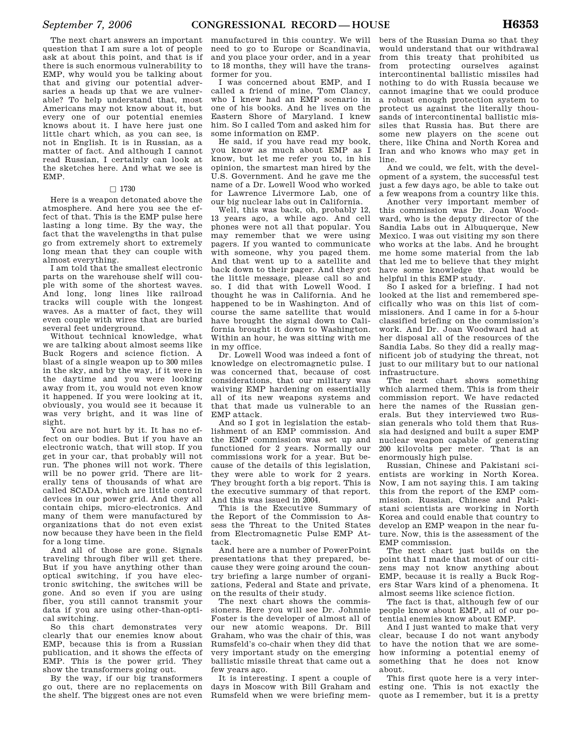The next chart answers an important question that I am sure a lot of people ask at about this point, and that is if there is such enormous vulnerability to EMP, why would you be talking about that and giving our potential adversaries a heads up that we are vulnerable? To help understand that, most Americans may not know about it, but every one of our potential enemies knows about it. I have here just one little chart which, as you can see, is not in English. It is in Russian, as a matter of fact. And although I cannot read Russian, I certainly can look at the sketches here. And what we see is EMP.

#### $\Box$  1730

Here is a weapon detonated above the atmosphere. And here you see the effect of that. This is the EMP pulse here lasting a long time. By the way, the fact that the wavelengths in that pulse go from extremely short to extremely long mean that they can couple with almost everything.

I am told that the smallest electronic parts on the warehouse shelf will couple with some of the shortest waves. And long, long lines like railroad tracks will couple with the longest waves. As a matter of fact, they will even couple with wires that are buried several feet underground.

Without technical knowledge, what we are talking about almost seems like Buck Rogers and science fiction. A blast of a single weapon up to 300 miles in the sky, and by the way, if it were in the daytime and you were looking away from it, you would not even know it happened. If you were looking at it, obviously, you would see it because it was very bright, and it was line of sight.

You are not hurt by it. It has no effect on our bodies. But if you have an electronic watch, that will stop. If you get in your car, that probably will not run. The phones will not work. There will be no power grid. There are literally tens of thousands of what are called SCADA, which are little control devices in our power grid. And they all contain chips, micro-electronics. And many of them were manufactured by organizations that do not even exist now because they have been in the field for a long time.

And all of those are gone. Signals traveling through fiber will get there. But if you have anything other than optical switching, if you have electronic switching, the switches will be gone. And so even if you are using fiber, you still cannot transmit your data if you are using other-than-optical switching.

So this chart demonstrates very clearly that our enemies know about EMP, because this is from a Russian publication, and it shows the effects of EMP. This is the power grid. They show the transformers going out.

By the way, if our big transformers go out, there are no replacements on the shelf. The biggest ones are not even

manufactured in this country. We will need to go to Europe or Scandinavia, and you place your order, and in a year to 18 months, they will have the transformer for you.

I was concerned about EMP, and I called a friend of mine, Tom Clancy, who I knew had an EMP scenario in one of his books. And he lives on the Eastern Shore of Maryland. I knew him. So I called Tom and asked him for some information on EMP.

He said, if you have read my book, you know as much about EMP as I know, but let me refer you to, in his opinion, the smartest man hired by the U.S. Government. And he gave me the name of a Dr. Lowell Wood who worked for Lawrence Livermore Lab, one of our big nuclear labs out in California.

Well, this was back, oh, probably 12, 13 years ago, a while ago. And cell phones were not all that popular. You may remember that we were using pagers. If you wanted to communicate with someone, why you paged them. And that went up to a satellite and back down to their pager. And they got the little message, please call so and so. I did that with Lowell Wood. I thought he was in California. And he happened to be in Washington. And of course the same satellite that would have brought the signal down to California brought it down to Washington. Within an hour, he was sitting with me in my office.

Dr. Lowell Wood was indeed a font of knowledge on electromagnetic pulse. I was concerned that, because of cost considerations, that our military was waiving EMP hardening on essentially all of its new weapons systems and that that made us vulnerable to an EMP attack.

And so I got in legislation the establishment of an EMP commission. And the EMP commission was set up and functioned for 2 years. Normally our commissions work for a year. But because of the details of this legislation, they were able to work for 2 years. They brought forth a big report. This is the executive summary of that report. And this was issued in 2004.

This is the Executive Summary of the Report of the Commission to Assess the Threat to the United States from Electromagnetic Pulse EMP Attack.

And here are a number of PowerPoint presentations that they prepared, because they were going around the country briefing a large number of organizations, Federal and State and private, on the results of their study.

The next chart shows the commissioners. Here you will see Dr. Johnnie Foster is the developer of almost all of our new atomic weapons. Dr. Bill Graham, who was the chair of this, was Rumsfeld's co-chair when they did that very important study on the emerging ballistic missile threat that came out a few years ago.

It is interesting. I spent a couple of days in Moscow with Bill Graham and Rumsfeld when we were briefing mem-

bers of the Russian Duma so that they would understand that our withdrawal from this treaty that prohibited us from protecting ourselves against intercontinental ballistic missiles had nothing to do with Russia because we cannot imagine that we could produce a robust enough protection system to protect us against the literally thousands of intercontinental ballistic missiles that Russia has. But there are some new players on the scene out there, like China and North Korea and Iran and who knows who may get in line.

And we could, we felt, with the development of a system, the successful test just a few days ago, be able to take out a few weapons from a country like this.

Another very important member of this commission was Dr. Joan Woodward, who is the deputy director of the Sandia Labs out in Albuquerque, New Mexico. I was out visiting my son there who works at the labs. And he brought me home some material from the lab that led me to believe that they might have some knowledge that would be helpful in this EMP study.

So I asked for a briefing. I had not looked at the list and remembered specifically who was on this list of commissioners. And I came in for a 5-hour classified briefing on the commission's work. And Dr. Joan Woodward had at her disposal all of the resources of the Sandia Labs. So they did a really magnificent job of studying the threat, not just to our military but to our national infrastructure.

The next chart shows something which alarmed them. This is from their commission report. We have redacted here the names of the Russian generals. But they interviewed two Russian generals who told them that Russia had designed and built a super EMP nuclear weapon capable of generating 200 kilovolts per meter. That is an enormously high pulse.

Russian, Chinese and Pakistani scientists are working in North Korea. Now, I am not saying this. I am taking this from the report of the EMP commission. Russian, Chinese and Pakistani scientists are working in North Korea and could enable that country to develop an EMP weapon in the near future. Now, this is the assessment of the EMP commission.

The next chart just builds on the point that I made that most of our citizens may not know anything about EMP, because it is really a Buck Rogers Star Wars kind of a phenomena. It almost seems like science fiction.

The fact is that, although few of our people know about EMP, all of our potential enemies know about EMP.

And I just wanted to make that very clear, because I do not want anybody to have the notion that we are somehow informing a potential enemy of something that he does not know about.

This first quote here is a very interesting one. This is not exactly the quote as I remember, but it is a pretty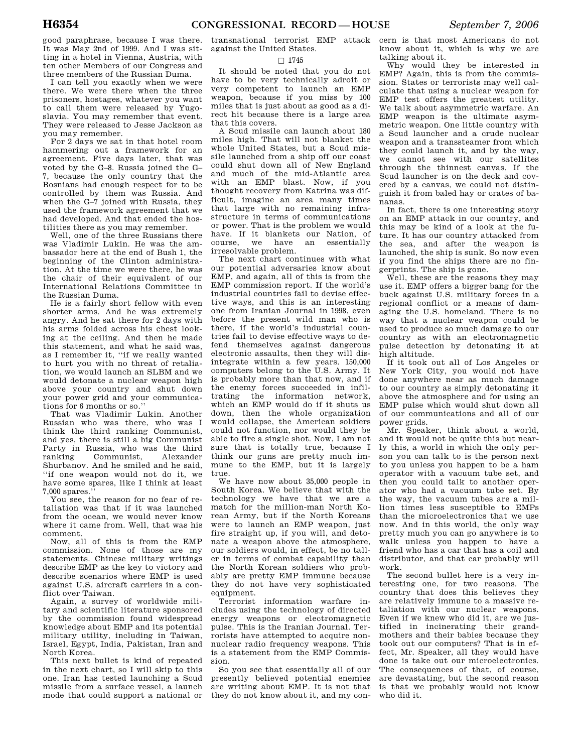good paraphrase, because I was there. It was May 2nd of 1999. And I was sitting in a hotel in Vienna, Austria, with ten other Members of our Congress and three members of the Russian Duma.

I can tell you exactly when we were there. We were there when the three prisoners, hostages, whatever you want to call them were released by Yugoslavia. You may remember that event. They were released to Jesse Jackson as you may remember.

For 2 days we sat in that hotel room hammering out a framework for an agreement. Five days later, that was voted by the G–8. Russia joined the G– 7, because the only country that the Bosnians had enough respect for to be controlled by them was Russia. And when the G–7 joined with Russia, they used the framework agreement that we had developed. And that ended the hostilities there as you may remember.

Well, one of the three Russians there was Vladimir Lukin. He was the ambassador here at the end of Bush 1, the beginning of the Clinton administration. At the time we were there, he was the chair of their equivalent of our International Relations Committee in the Russian Duma.

He is a fairly short fellow with even shorter arms. And he was extremely angry. And he sat there for 2 days with his arms folded across his chest looking at the ceiling. And then he made this statement, and what he said was, as I remember it, ''if we really wanted to hurt you with no threat of retaliation, we would launch an SLBM and we would detonate a nuclear weapon high above your country and shut down your power grid and your communications for 6 months or so.''

That was Vladimir Lukin. Another Russian who was there, who was I think the third ranking Communist, and yes, there is still a big Communist Party in Russia, who was the third ranking Communist, Alexander Shurbanov. And he smiled and he said, ''if one weapon would not do it, we have some spares, like I think at least 7,000 spares.''

You see, the reason for no fear of retaliation was that if it was launched from the ocean, we would never know where it came from. Well, that was his comment.

Now, all of this is from the EMP commission. None of those are my statements. Chinese military writings describe EMP as the key to victory and describe scenarios where EMP is used against U.S. aircraft carriers in a conflict over Taiwan.

Again, a survey of worldwide military and scientific literature sponsored by the commission found widespread knowledge about EMP and its potential military utility, including in Taiwan, Israel, Egypt, India, Pakistan, Iran and North Korea.

This next bullet is kind of repeated in the next chart, so I will skip to this one. Iran has tested launching a Scud missile from a surface vessel, a launch mode that could support a national or

transnational terrorist EMP attack against the United States.

#### $\Box$  1745

It should be noted that you do not have to be very technically adroit or very competent to launch an EMP weapon, because if you miss by 100 miles that is just about as good as a direct hit because there is a large area that this covers.

A Scud missile can launch about 180 miles high. That will not blanket the whole United States, but a Scud missile launched from a ship off our coast could shut down all of New England and much of the mid-Atlantic area with an EMP blast. Now, if you thought recovery from Katrina was difficult, imagine an area many times that large with no remaining infrastructure in terms of communications or power. That is the problem we would have. If it blankets our Nation, of course, we have an essentially we have an essentially irresolvable problem.

The next chart continues with what our potential adversaries know about EMP, and again, all of this is from the EMP commission report. If the world's industrial countries fail to devise effective ways, and this is an interesting one from Iranian Journal in 1998, even before the present wild man who is there, if the world's industrial countries fail to devise effective ways to defend themselves against dangerous electronic assaults, then they will disintegrate within a few years. 150,000 computers belong to the U.S. Army. It is probably more than that now, and if the enemy forces succeeded in infiltrating the information network, which an EMP would do if it shuts us down, then the whole organization would collapse, the American soldiers could not function, nor would they be able to fire a single shot. Now, I am not sure that is totally true, because I think our guns are pretty much immune to the EMP, but it is largely true.

We have now about 35,000 people in South Korea. We believe that with the technology we have that we are a match for the million-man North Korean Army, but if the North Koreans were to launch an EMP weapon, just fire straight up, if you will, and detonate a weapon above the atmosphere, our soldiers would, in effect, be no taller in terms of combat capability than the North Korean soldiers who probably are pretty EMP immune because they do not have very sophisticated equipment.

Terrorist information warfare includes using the technology of directed energy weapons or electromagnetic pulse. This is the Iranian Journal. Terrorists have attempted to acquire nonnuclear radio frequency weapons. This is a statement from the EMP Commission.

So you see that essentially all of our presently believed potential enemies are writing about EMP. It is not that they do not know about it, and my con-

cern is that most Americans do not know about it, which is why we are talking about it.

Why would they be interested in EMP? Again, this is from the commission. States or terrorists may well calculate that using a nuclear weapon for EMP test offers the greatest utility. We talk about asymmetric warfare. An EMP weapon is the ultimate asymmetric weapon. One little country with a Scud launcher and a crude nuclear weapon and a transsteamer from which they could launch it, and by the way, we cannot see with our satellites through the thinnest canvas. If the Scud launcher is on the deck and covered by a canvas, we could not distinguish it from baled hay or crates of bananas.

In fact, there is one interesting story on an EMP attack in our country, and this may be kind of a look at the future. It has our country attacked from the sea, and after the weapon is launched, the ship is sunk. So now even if you find the ships there are no fingerprints. The ship is gone.

Well, these are the reasons they may use it. EMP offers a bigger bang for the buck against U.S. military forces in a regional conflict or a means of damaging the U.S. homeland. There is no way that a nuclear weapon could be used to produce so much damage to our country as with an electromagnetic pulse detection by detonating it at high altitude.

If it took out all of Los Angeles or New York City, you would not have done anywhere near as much damage to our country as simply detonating it above the atmosphere and for using an EMP pulse which would shut down all of our communications and all of our power grids.

Mr. Speaker, think about a world, and it would not be quite this but nearly this, a world in which the only person you can talk to is the person next to you unless you happen to be a ham operator with a vacuum tube set, and then you could talk to another operator who had a vacuum tube set. By the way, the vacuum tubes are a million times less susceptible to EMPs than the microelectronics that we use now. And in this world, the only way pretty much you can go anywhere is to walk unless you happen to have a friend who has a car that has a coil and distributor, and that car probably will work.

The second bullet here is a very interesting one, for two reasons. The country that does this believes they are relatively immune to a massive retaliation with our nuclear weapons. Even if we knew who did it, are we justified in incinerating their grandmothers and their babies because they took out our computers? That is in effect, Mr. Speaker, all they would have done is take out our microelectronics. The consequences of that, of course, are devastating, but the second reason is that we probably would not know who did it.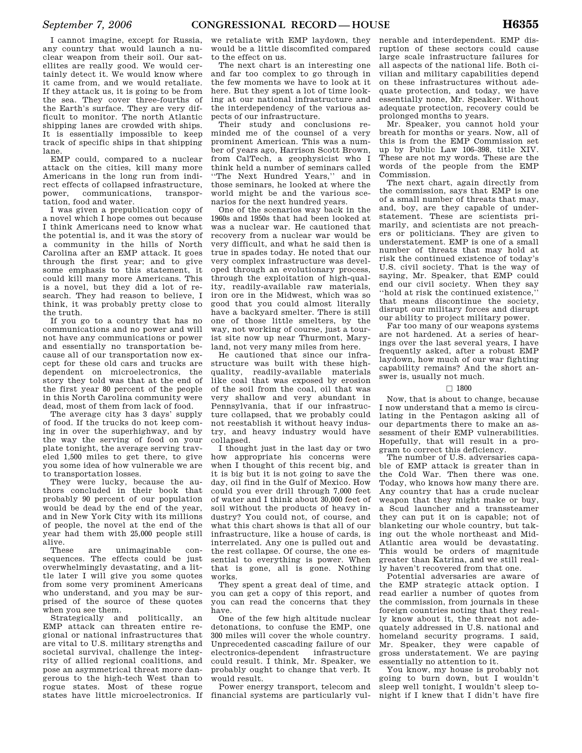I cannot imagine, except for Russia, any country that would launch a nuclear weapon from their soil. Our satellites are really good. We would certainly detect it. We would know where it came from, and we would retaliate. If they attack us, it is going to be from the sea. They cover three-fourths of the Earth's surface. They are very dif-

ficult to monitor. The north Atlantic shipping lanes are crowded with ships. It is essentially impossible to keep track of specific ships in that shipping lane.

EMP could, compared to a nuclear attack on the cities, kill many more Americans in the long run from indirect effects of collapsed infrastructure, power, communications, transportation, food and water.

I was given a prepublication copy of a novel which I hope comes out because I think Americans need to know what the potential is, and it was the story of a community in the hills of North Carolina after an EMP attack. It goes through the first year; and to give some emphasis to this statement, it could kill many more Americans. This is a novel, but they did a lot of research. They had reason to believe, I think, it was probably pretty close to the truth.

If you go to a country that has no communications and no power and will not have any communications or power and essentially no transportation because all of our transportation now except for these old cars and trucks are dependent on microelectronics, the story they told was that at the end of the first year 80 percent of the people in this North Carolina community were dead, most of them from lack of food.

The average city has 3 days' supply of food. If the trucks do not keep coming in over the superhighway, and by the way the serving of food on your plate tonight, the average serving traveled 1,500 miles to get there, to give you some idea of how vulnerable we are to transportation losses.

They were lucky, because the authors concluded in their book that probably 90 percent of our population would be dead by the end of the year, and in New York City with its millions of people, the novel at the end of the year had them with 25,000 people still alive.<br>These

are unimaginable consequences. The effects could be just overwhelmingly devastating, and a little later I will give you some quotes from some very prominent Americans who understand, and you may be surprised of the source of these quotes when you see them.

Strategically and politically, an EMP attack can threaten entire regional or national infrastructures that are vital to U.S. military strengths and societal survival, challenge the integrity of allied regional coalitions, and pose an asymmetrical threat more dangerous to the high-tech West than to rogue states. Most of these rogue states have little microelectronics. If we retaliate with EMP laydown, they would be a little discomfited compared to the effect on us.

The next chart is an interesting one and far too complex to go through in the few moments we have to look at it here. But they spent a lot of time looking at our national infrastructure and the interdependency of the various aspects of our infrastructure.

Their study and conclusions reminded me of the counsel of a very prominent American. This was a number of years ago, Harrison Scott Brown, from CalTech, a geophysicist who I think held a number of seminars called ''The Next Hundred Years,'' and in those seminars, he looked at where the world might be and the various scenarios for the next hundred years.

One of the scenarios way back in the 1960s and 1950s that had been looked at was a nuclear war. He cautioned that recovery from a nuclear war would be very difficult, and what he said then is true in spades today. He noted that our very complex infrastructure was developed through an evolutionary process, through the exploitation of high-quality, readily-available raw materials, iron ore in the Midwest, which was so good that you could almost literally have a backyard smelter. There is still one of those little smelters, by the way, not working of course, just a tourist site now up near Thurmont, Maryland, not very many miles from here.

He cautioned that since our infrastructure was built with these highquality, readily-available materials like coal that was exposed by erosion of the soil from the coal, oil that was very shallow and very abundant in Pennsylvania, that if our infrastructure collapsed, that we probably could not reestablish it without heavy industry, and heavy industry would have collapsed.

I thought just in the last day or two how appropriate his concerns were when I thought of this recent big, and it is big but it is not going to save the day, oil find in the Gulf of Mexico. How could you ever drill through 7,000 feet of water and I think about 30,000 feet of soil without the products of heavy industry? You could not, of course, and what this chart shows is that all of our infrastructure, like a house of cards, is interrelated. Any one is pulled out and the rest collapse. Of course, the one essential to everything is power. When that is gone, all is gone. Nothing works.

They spent a great deal of time, and you can get a copy of this report, and you can read the concerns that they have.

One of the few high altitude nuclear detonations, to confuse the EMP, one 300 miles will cover the whole country. Unprecedented cascading failure of our electronics-dependent could result. I think, Mr. Speaker, we probably ought to change that verb. It would result.

Power energy transport, telecom and financial systems are particularly vul-

nerable and interdependent. EMP disruption of these sectors could cause large scale infrastructure failures for all aspects of the national life. Both civilian and military capabilities depend on these infrastructures without adequate protection, and today, we have essentially none, Mr. Speaker. Without adequate protection, recovery could be prolonged months to years.

Mr. Speaker, you cannot hold your breath for months or years. Now, all of this is from the EMP Commission set up by Public Law 106–398, title XIV. These are not my words. These are the words of the people from the EMP Commission.

The next chart, again directly from the commission, says that EMP is one of a small number of threats that may, and, boy, are they capable of understatement. These are scientists primarily, and scientists are not preachers or politicians. They are given to understatement. EMP is one of a small number of threats that may hold at risk the continued existence of today's U.S. civil society. That is the way of saying, Mr. Speaker, that EMP could end our civil society. When they say ''hold at risk the continued existence,'' that means discontinue the society, disrupt our military forces and disrupt our ability to project military power.

Far too many of our weapons systems are not hardened. At a series of hearings over the last several years, I have frequently asked, after a robust EMP laydown, how much of our war fighting capability remains? And the short answer is, usually not much.

### $\square$  1800

Now, that is about to change, because I now understand that a memo is circulating in the Pentagon asking all of our departments there to make an assessment of their EMP vulnerabilities. Hopefully, that will result in a program to correct this deficiency.

The number of U.S. adversaries capable of EMP attack is greater than in the Cold War. Then there was one. Today, who knows how many there are. Any country that has a crude nuclear weapon that they might make or buy, a Scud launcher and a transsteamer they can put it on is capable; not of blanketing our whole country, but taking out the whole northeast and Mid-Atlantic area would be devastating. This would be orders of magnitude greater than Katrina, and we still really haven't recovered from that one.

Potential adversaries are aware of the EMP strategic attack option. I read earlier a number of quotes from the commission, from journals in these foreign countries noting that they really know about it, the threat not adequately addressed in U.S. national and homeland security programs. I said, Mr. Speaker, they were capable of gross understatement. We are paying essentially no attention to it.

You know, my house is probably not going to burn down, but I wouldn't sleep well tonight, I wouldn't sleep tonight if I knew that I didn't have fire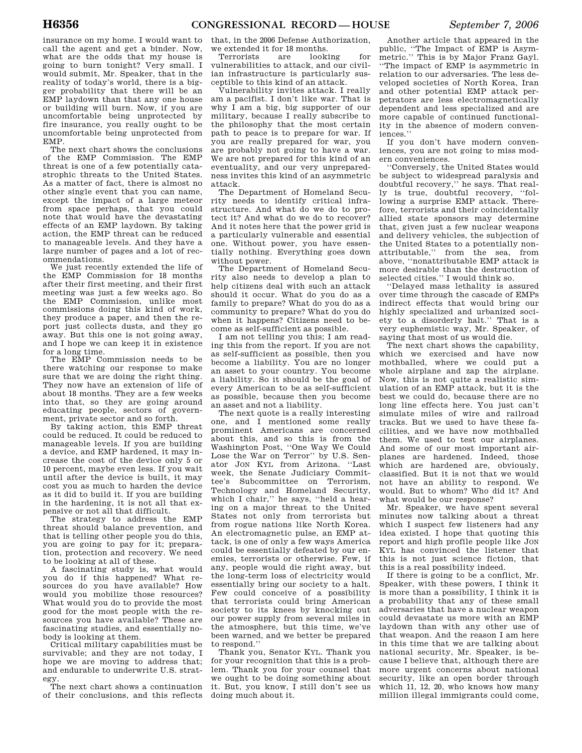insurance on my home. I would want to call the agent and get a binder. Now, what are the odds that my house is going to burn tonight? Very small. I would submit, Mr. Speaker, that in the reality of today's world, there is a bigger probability that there will be an EMP laydown than that any one house or building will burn. Now, if you are uncomfortable being unprotected by fire insurance, you really ought to be uncomfortable being unprotected from EMP.

The next chart shows the conclusions of the EMP Commission. The EMP threat is one of a few potentially catastrophic threats to the United States. As a matter of fact, there is almost no other single event that you can name, except the impact of a large meteor from space perhaps, that you could note that would have the devastating effects of an EMP laydown. By taking action, the EMP threat can be reduced to manageable levels. And they have a large number of pages and a lot of recommendations.

We just recently extended the life of the EMP Commission for 18 months after their first meeting, and their first meeting was just a few weeks ago. So the EMP Commission, unlike most commissions doing this kind of work, they produce a paper, and then the report just collects dusts, and they go away. But this one is not going away, and I hope we can keep it in existence for a long time.

The EMP Commission needs to be there watching our response to make sure that we are doing the right thing. They now have an extension of life of about 18 months. They are a few weeks into that, so they are going around educating people, sectors of government, private sector and so forth.

By taking action, this EMP threat could be reduced. It could be reduced to manageable levels. If you are building a device, and EMP hardened, it may increase the cost of the device only 5 or 10 percent, maybe even less. If you wait until after the device is built, it may cost you as much to harden the device as it did to build it. If you are building in the hardening, it is not all that expensive or not all that difficult.

The strategy to address the EMP threat should balance prevention, and that is telling other people you do this, you are going to pay for it; preparation, protection and recovery. We need to be looking at all of these.

A fascinating study is, what would you do if this happened? What resources do you have available? How would you mobilize those resources? What would you do to provide the most good for the most people with the resources you have available? These are fascinating studies, and essentially nobody is looking at them.

Critical military capabilities must be survivable; and they are not today, I hope we are moving to address that; and endurable to underwrite U.S. strategy.

The next chart shows a continuation of their conclusions, and this reflects

that, in the 2006 Defense Authorization, we extended it for 18 months.

Terrorists are looking for vulnerabilities to attack, and our civilian infrastructure is particularly susceptible to this kind of an attack.

Vulnerability invites attack. I really am a pacifist. I don't like war. That is why I am a big, big supporter of our military, because I really subscribe to the philosophy that the most certain path to peace is to prepare for war. If you are really prepared for war, you are probably not going to have a war. We are not prepared for this kind of an eventuality, and our very unpreparedness invites this kind of an asymmetric attack.

The Department of Homeland Security needs to identify critical infrastructure. And what do we do to protect it? And what do we do to recover? And it notes here that the power grid is a particularly vulnerable and essential one. Without power, you have essentially nothing. Everything goes down without power.

The Department of Homeland Security also needs to develop a plan to help citizens deal with such an attack should it occur. What do you do as a family to prepare? What do you do as a community to prepare? What do you do when it happens? Citizens need to become as self-sufficient as possible.

I am not telling you this; I am reading this from the report. If you are not as self-sufficient as possible, then you become a liability. You are no longer an asset to your country. You become a liability. So it should be the goal of every American to be as self-sufficient as possible, because then you become an asset and not a liability.

The next quote is a really interesting one, and I mentioned some really prominent Americans are concerned about this, and so this is from the Washington Post, ''One Way We Could Lose the War on Terror'' by U.S. Senator JON KYL from Arizona. ''Last week, the Senate Judiciary Committee's Subcommittee on Terrorism, Technology and Homeland Security, which I chair,'' he says, ''held a hearing on a major threat to the United States not only from terrorists but from rogue nations like North Korea. An electromagnetic pulse, an EMP attack, is one of only a few ways America could be essentially defeated by our enemies, terrorists or otherwise. Few, if any, people would die right away, but the long-term loss of electricity would essentially bring our society to a halt. Few could conceive of a possibility that terrorists could bring American society to its knees by knocking out our power supply from several miles in the atmosphere, but this time, we've been warned, and we better be prepared to respond.''

Thank you, Senator KYL. Thank you for your recognition that this is a problem. Thank you for your counsel that we ought to be doing something about it. But, you know, I still don't see us doing much about it.

Another article that appeared in the public, ''The Impact of EMP is Asymmetric.'' This is by Major Franz Gayl. ''The impact of EMP is asymmetric in relation to our adversaries. The less developed societies of North Korea, Iran and other potential EMP attack perpetrators are less electromagnetically dependent and less specialized and are more capable of continued functionality in the absence of modern conveniences.''

If you don't have modern conveniences, you are not going to miss modern conveniences.

''Conversely, the United States would be subject to widespread paralysis and doubtful recovery,'' he says. That really is true, doubtful recovery, ''following a surprise EMP attack. Therefore, terrorists and their coincidentally allied state sponsors may determine that, given just a few nuclear weapons and delivery vehicles, the subjection of the United States to a potentially nonattributable,'' from the sea, from above, ''nonattributable EMP attack is more desirable than the destruction of selected cities.'' I would think so.

''Delayed mass lethality is assured over time through the cascade of EMPs indirect effects that would bring our highly specialized and urbanized society to a disorderly halt.'' That is a very euphemistic way, Mr. Speaker, of saying that most of us would die.

The next chart shows the capability, which we exercised and have now mothballed, where we could put a whole airplane and zap the airplane. Now, this is not quite a realistic simulation of an EMP attack, but it is the best we could do, because there are no long line effects here. You just can't simulate miles of wire and railroad tracks. But we used to have these facilities, and we have now mothballed them. We used to test our airplanes. And some of our most important airplanes are hardened. Indeed, those which are hardened are, obviously. classified. But it is not that we would not have an ability to respond. We would. But to whom? Who did it? And what would be our response?

Mr. Speaker, we have spent several minutes now talking about a threat which I suspect few listeners had any idea existed. I hope that quoting this report and high profile people like JON KYL has convinced the listener that this is not just science fiction, that this is a real possibility indeed.

If there is going to be a conflict, Mr. Speaker, with these powers, I think it is more than a possibility, I think it is a probability that any of these small adversaries that have a nuclear weapon could devastate us more with an EMP laydown than with any other use of that weapon. And the reason I am here in this time that we are talking about national security, Mr. Speaker, is because I believe that, although there are more urgent concerns about national security, like an open border through which 11, 12, 20, who knows how many million illegal immigrants could come,